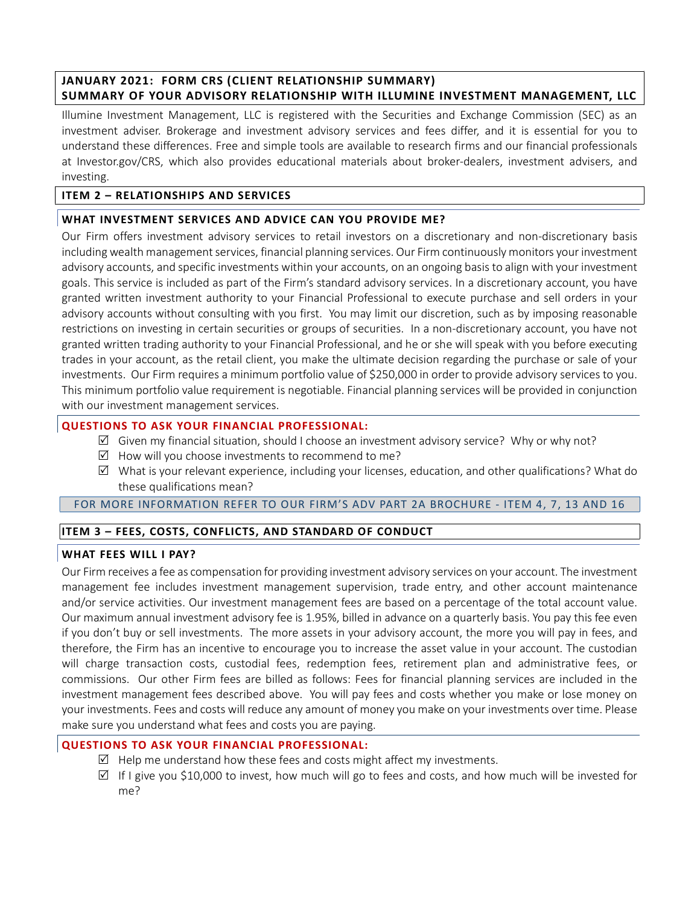# JANUARY 2021: FORM CRS (CLIENT RELATIONSHIP SUMMARY) SUMMARY OF YOUR ADVISORY RELATIONSHIP WITH ILLUMINE INVESTMENT MANAGEMENT, LLC

Illumine Investment Management, LLC is registered with the Securities and Exchange Commission (SEC) as an investment adviser. Brokerage and investment advisory services and fees differ, and it is essential for you to understand these differences. Free and simple tools are available to research firms and our financial professionals at Investor.gov/CRS, which also provides educational materials about broker-dealers, investment advisers, and investing.

## ITEM 2 – RELATIONSHIPS AND SERVICES

## WHAT INVESTMENT SERVICES AND ADVICE CAN YOU PROVIDE ME?

Our Firm offers investment advisory services to retail investors on a discretionary and non-discretionary basis including wealth management services, financial planning services. Our Firm continuously monitors your investment advisory accounts, and specific investments within your accounts, on an ongoing basis to align with your investment goals. This service is included as part of the Firm's standard advisory services. In a discretionary account, you have granted written investment authority to your Financial Professional to execute purchase and sell orders in your advisory accounts without consulting with you first. You may limit our discretion, such as by imposing reasonable restrictions on investing in certain securities or groups of securities. In a non-discretionary account, you have not granted written trading authority to your Financial Professional, and he or she will speak with you before executing trades in your account, as the retail client, you make the ultimate decision regarding the purchase or sale of your investments. Our Firm requires a minimum portfolio value of \$250,000 in order to provide advisory services to you. This minimum portfolio value requirement is negotiable. Financial planning services will be provided in conjunction with our investment management services.

### QUESTIONS TO ASK YOUR FINANCIAL PROFESSIONAL:

- $\boxtimes$  Given my financial situation, should I choose an investment advisory service? Why or why not?
- $\boxtimes$  How will you choose investments to recommend to me?
- $\boxtimes$  What is your relevant experience, including your licenses, education, and other qualifications? What do these qualifications mean?

### FOR MORE INFORMATION REFER TO OUR FIRM'S ADV PART 2A BROCHURE - ITEM 4, 7, 13 AND 16

# ITEM 3 – FEES, COSTS, CONFLICTS, AND STANDARD OF CONDUCT

### WHAT FEES WILL I PAY?

Our Firm receives a fee as compensation for providing investment advisory services on your account. The investment management fee includes investment management supervision, trade entry, and other account maintenance and/or service activities. Our investment management fees are based on a percentage of the total account value. Our maximum annual investment advisory fee is 1.95%, billed in advance on a quarterly basis. You pay this fee even if you don't buy or sell investments. The more assets in your advisory account, the more you will pay in fees, and therefore, the Firm has an incentive to encourage you to increase the asset value in your account. The custodian will charge transaction costs, custodial fees, redemption fees, retirement plan and administrative fees, or commissions. Our other Firm fees are billed as follows: Fees for financial planning services are included in the investment management fees described above. You will pay fees and costs whether you make or lose money on your investments. Fees and costs will reduce any amount of money you make on your investments over time. Please make sure you understand what fees and costs you are paying.

### QUESTIONS TO ASK YOUR FINANCIAL PROFESSIONAL:

- $\boxtimes$  Help me understand how these fees and costs might affect my investments.
- $\boxtimes$  If I give you \$10,000 to invest, how much will go to fees and costs, and how much will be invested for me?